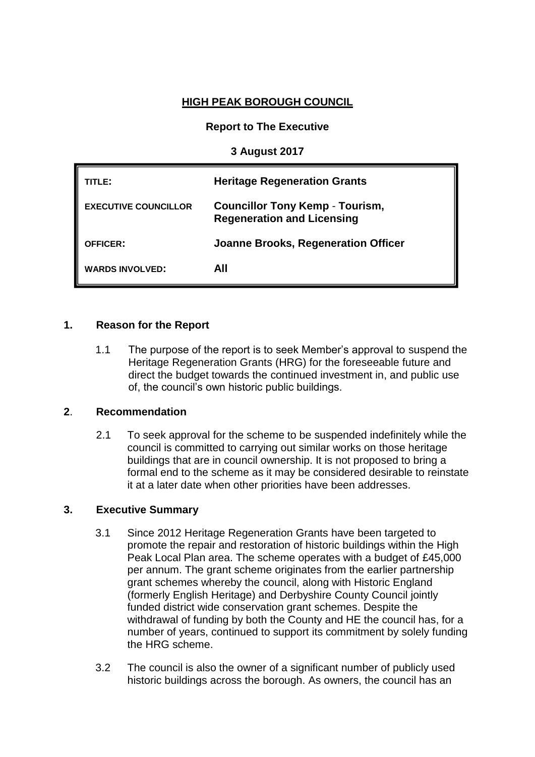# **HIGH PEAK BOROUGH COUNCIL**

## **Report to The Executive**

## **3 August 2017**

| TITLE: I                    | <b>Heritage Regeneration Grants</b>                                         |
|-----------------------------|-----------------------------------------------------------------------------|
| <b>EXECUTIVE COUNCILLOR</b> | <b>Councillor Tony Kemp - Tourism,</b><br><b>Regeneration and Licensing</b> |
| <b>OFFICER:</b>             | Joanne Brooks, Regeneration Officer                                         |
| <b>WARDS INVOLVED:</b>      | All                                                                         |

## **1. Reason for the Report**

1.1 The purpose of the report is to seek Member's approval to suspend the Heritage Regeneration Grants (HRG) for the foreseeable future and direct the budget towards the continued investment in, and public use of, the council's own historic public buildings.

### **2**. **Recommendation**

2.1 To seek approval for the scheme to be suspended indefinitely while the council is committed to carrying out similar works on those heritage buildings that are in council ownership. It is not proposed to bring a formal end to the scheme as it may be considered desirable to reinstate it at a later date when other priorities have been addresses.

### **3. Executive Summary**

- 3.1 Since 2012 Heritage Regeneration Grants have been targeted to promote the repair and restoration of historic buildings within the High Peak Local Plan area. The scheme operates with a budget of £45,000 per annum. The grant scheme originates from the earlier partnership grant schemes whereby the council, along with Historic England (formerly English Heritage) and Derbyshire County Council jointly funded district wide conservation grant schemes. Despite the withdrawal of funding by both the County and HE the council has, for a number of years, continued to support its commitment by solely funding the HRG scheme.
- 3.2 The council is also the owner of a significant number of publicly used historic buildings across the borough. As owners, the council has an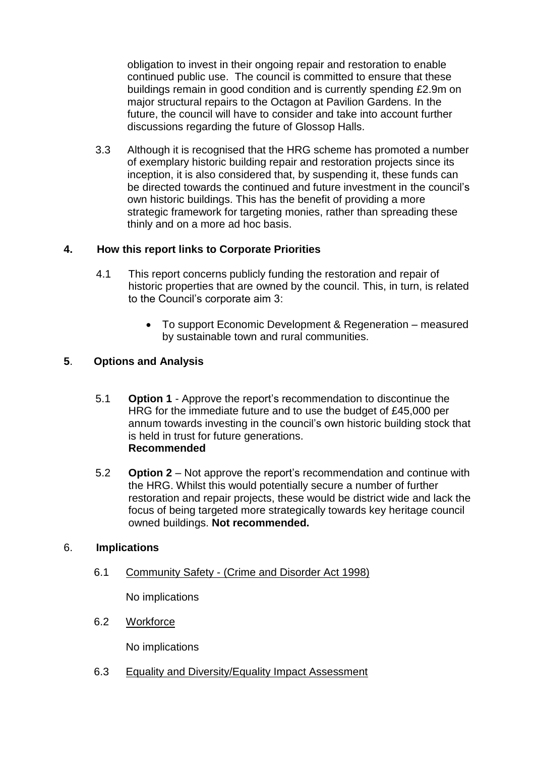obligation to invest in their ongoing repair and restoration to enable continued public use. The council is committed to ensure that these buildings remain in good condition and is currently spending £2.9m on major structural repairs to the Octagon at Pavilion Gardens. In the future, the council will have to consider and take into account further discussions regarding the future of Glossop Halls.

3.3 Although it is recognised that the HRG scheme has promoted a number of exemplary historic building repair and restoration projects since its inception, it is also considered that, by suspending it, these funds can be directed towards the continued and future investment in the council's own historic buildings. This has the benefit of providing a more strategic framework for targeting monies, rather than spreading these thinly and on a more ad hoc basis.

## **4. How this report links to Corporate Priorities**

- 4.1 This report concerns publicly funding the restoration and repair of historic properties that are owned by the council. This, in turn, is related to the Council's corporate aim 3:
	- To support Economic Development & Regeneration measured by sustainable town and rural communities.

## **5**. **Options and Analysis**

- 5.1 **Option 1** Approve the report's recommendation to discontinue the HRG for the immediate future and to use the budget of £45,000 per annum towards investing in the council's own historic building stock that is held in trust for future generations. **Recommended**
- 5.2 **Option 2** Not approve the report's recommendation and continue with the HRG. Whilst this would potentially secure a number of further restoration and repair projects, these would be district wide and lack the focus of being targeted more strategically towards key heritage council owned buildings. **Not recommended.**

## 6. **Implications**

6.1 Community Safety - (Crime and Disorder Act 1998)

No implications

6.2 Workforce

No implications

6.3 Equality and Diversity/Equality Impact Assessment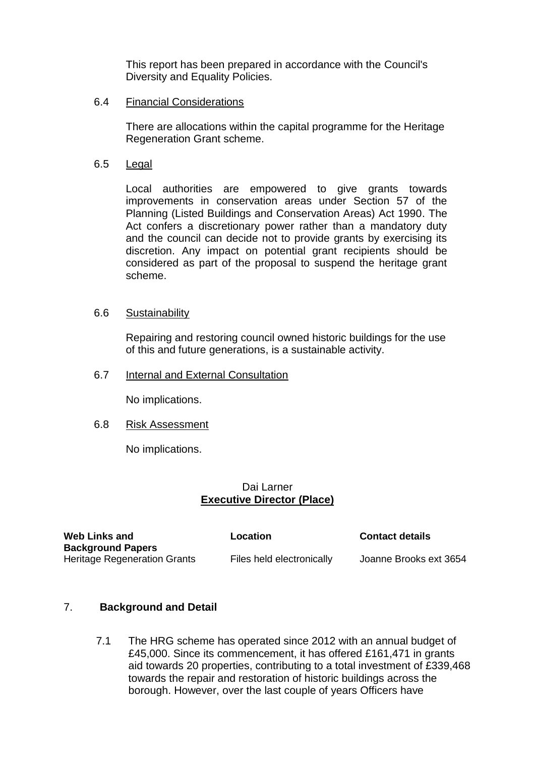This report has been prepared in accordance with the Council's Diversity and Equality Policies.

#### 6.4 Financial Considerations

There are allocations within the capital programme for the Heritage Regeneration Grant scheme.

6.5 Legal

Local authorities are empowered to give grants towards improvements in conservation areas under Section 57 of the Planning (Listed Buildings and Conservation Areas) Act 1990. The Act confers a discretionary power rather than a mandatory duty and the council can decide not to provide grants by exercising its discretion. Any impact on potential grant recipients should be considered as part of the proposal to suspend the heritage grant scheme.

#### 6.6 Sustainability

Repairing and restoring council owned historic buildings for the use of this and future generations, is a sustainable activity.

6.7 Internal and External Consultation

No implications.

6.8 Risk Assessment

No implications.

## Dai Larner **Executive Director (Place)**

| <b>Web Links and</b>         | Location                  | <b>Contact details</b> |
|------------------------------|---------------------------|------------------------|
| <b>Background Papers</b>     |                           |                        |
| Heritage Regeneration Grants | Files held electronically | Joanne Brooks ext 3654 |

### 7. **Background and Detail**

7.1 The HRG scheme has operated since 2012 with an annual budget of £45,000. Since its commencement, it has offered £161,471 in grants aid towards 20 properties, contributing to a total investment of £339,468 towards the repair and restoration of historic buildings across the borough. However, over the last couple of years Officers have